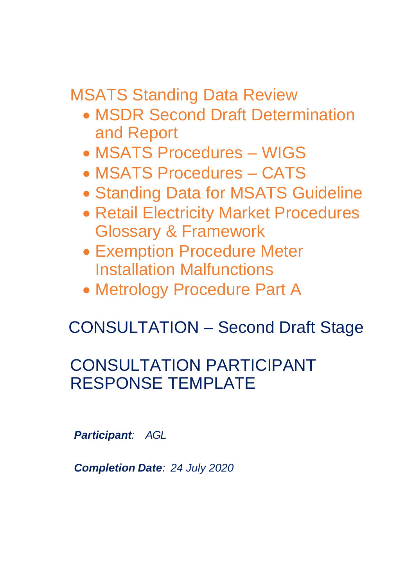MSATS Standing Data Review

- MSDR Second Draft Determination and Report
- MSATS Procedures WIGS
- MSATS Procedures CATS
- Standing Data for MSATS Guideline
- Retail Electricity Market Procedures Glossary & Framework
- Exemption Procedure Meter Installation Malfunctions
- Metrology Procedure Part A

# CONSULTATION – Second Draft Stage

# CONSULTATION PARTICIPANT RESPONSE TEMPLATE

*Participant: AGL*

*Completion Date: 24 July 2020*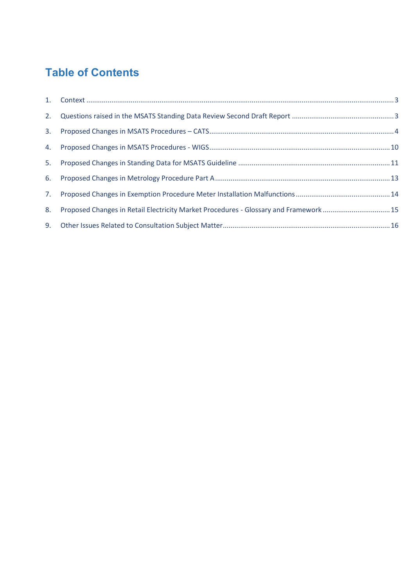# **Table of Contents**

| 3. |                                                                                      |  |
|----|--------------------------------------------------------------------------------------|--|
|    |                                                                                      |  |
|    |                                                                                      |  |
|    |                                                                                      |  |
| 7. |                                                                                      |  |
| 8. | Proposed Changes in Retail Electricity Market Procedures - Glossary and Framework 15 |  |
|    |                                                                                      |  |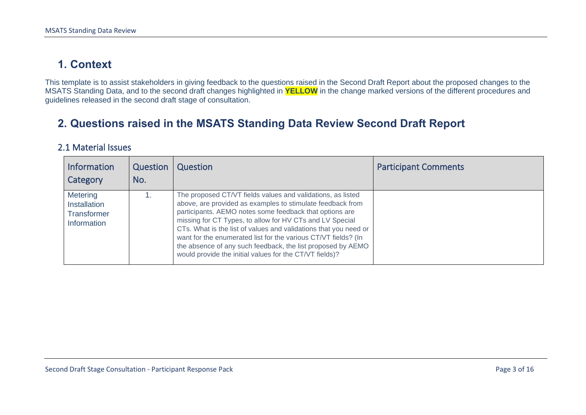## **1. Context**

This template is to assist stakeholders in giving feedback to the questions raised in the Second Draft Report about the proposed changes to the MSATS Standing Data, and to the second draft changes highlighted in **YELLOW** in the change marked versions of the different procedures and guidelines released in the second draft stage of consultation.

### **2. Questions raised in the MSATS Standing Data Review Second Draft Report**

#### 2.1 Material Issues

<span id="page-2-1"></span><span id="page-2-0"></span>

| <b>Information</b><br>Category                                       | Question<br>No. | Question                                                                                                                                                                                                                                                                                                                                                                                                                                                                                                         | <b>Participant Comments</b> |
|----------------------------------------------------------------------|-----------------|------------------------------------------------------------------------------------------------------------------------------------------------------------------------------------------------------------------------------------------------------------------------------------------------------------------------------------------------------------------------------------------------------------------------------------------------------------------------------------------------------------------|-----------------------------|
| <b>Metering</b><br>Installation<br><b>Transformer</b><br>Information |                 | The proposed CT/VT fields values and validations, as listed<br>above, are provided as examples to stimulate feedback from<br>participants. AEMO notes some feedback that options are<br>missing for CT Types, to allow for HV CTs and LV Special<br>CTs. What is the list of values and validations that you need or<br>want for the enumerated list for the various CT/VT fields? (In<br>the absence of any such feedback, the list proposed by AEMO<br>would provide the initial values for the CT/VT fields)? |                             |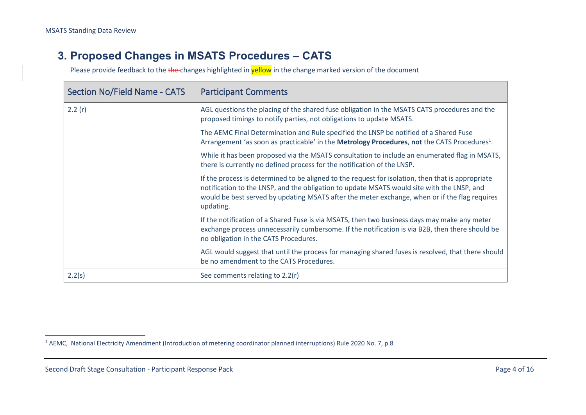#### **3. Proposed Changes in MSATS Procedures – CATS**

| <b>Section No/Field Name - CATS</b> | <b>Participant Comments</b>                                                                                                                                                                                                                                                                                   |
|-------------------------------------|---------------------------------------------------------------------------------------------------------------------------------------------------------------------------------------------------------------------------------------------------------------------------------------------------------------|
| 2.2(r)                              | AGL questions the placing of the shared fuse obligation in the MSATS CATS procedures and the<br>proposed timings to notify parties, not obligations to update MSATS.                                                                                                                                          |
|                                     | The AEMC Final Determination and Rule specified the LNSP be notified of a Shared Fuse<br>Arrangement 'as soon as practicable' in the <b>Metrology Procedures</b> , not the CATS Procedures <sup>1</sup> .                                                                                                     |
|                                     | While it has been proposed via the MSATS consultation to include an enumerated flag in MSATS,<br>there is currently no defined process for the notification of the LNSP.                                                                                                                                      |
|                                     | If the process is determined to be aligned to the request for isolation, then that is appropriate<br>notification to the LNSP, and the obligation to update MSATS would site with the LNSP, and<br>would be best served by updating MSATS after the meter exchange, when or if the flag requires<br>updating. |
|                                     | If the notification of a Shared Fuse is via MSATS, then two business days may make any meter<br>exchange process unnecessarily cumbersome. If the notification is via B2B, then there should be<br>no obligation in the CATS Procedures.                                                                      |
|                                     | AGL would suggest that until the process for managing shared fuses is resolved, that there should<br>be no amendment to the CATS Procedures.                                                                                                                                                                  |
| 2.2(s)                              | See comments relating to 2.2(r)                                                                                                                                                                                                                                                                               |

<span id="page-3-0"></span><sup>1</sup> AEMC, National Electricity Amendment (Introduction of metering coordinator planned interruptions) Rule 2020 No. 7, p 8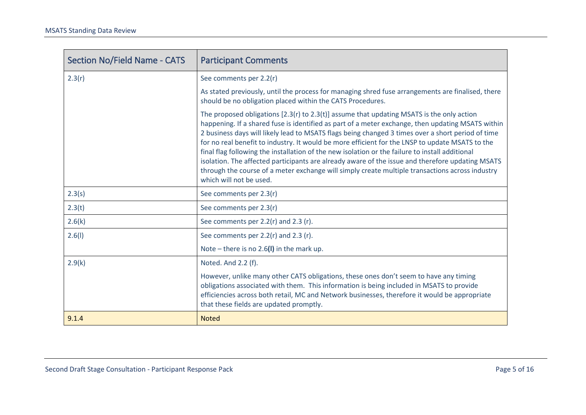| <b>Section No/Field Name - CATS</b> | <b>Participant Comments</b>                                                                                                                                                                                                                                                                                                                                                                                                                                                                                                                                                                                                                                                                                                                      |
|-------------------------------------|--------------------------------------------------------------------------------------------------------------------------------------------------------------------------------------------------------------------------------------------------------------------------------------------------------------------------------------------------------------------------------------------------------------------------------------------------------------------------------------------------------------------------------------------------------------------------------------------------------------------------------------------------------------------------------------------------------------------------------------------------|
| 2.3(r)                              | See comments per 2.2(r)                                                                                                                                                                                                                                                                                                                                                                                                                                                                                                                                                                                                                                                                                                                          |
|                                     | As stated previously, until the process for managing shred fuse arrangements are finalised, there<br>should be no obligation placed within the CATS Procedures.                                                                                                                                                                                                                                                                                                                                                                                                                                                                                                                                                                                  |
|                                     | The proposed obligations $[2.3(r)$ to $2.3(t)$ ] assume that updating MSATS is the only action<br>happening. If a shared fuse is identified as part of a meter exchange, then updating MSATS within<br>2 business days will likely lead to MSATS flags being changed 3 times over a short period of time<br>for no real benefit to industry. It would be more efficient for the LNSP to update MSATS to the<br>final flag following the installation of the new isolation or the failure to install additional<br>isolation. The affected participants are already aware of the issue and therefore updating MSATS<br>through the course of a meter exchange will simply create multiple transactions across industry<br>which will not be used. |
| 2.3(s)                              | See comments per 2.3(r)                                                                                                                                                                                                                                                                                                                                                                                                                                                                                                                                                                                                                                                                                                                          |
| 2.3(t)                              | See comments per 2.3(r)                                                                                                                                                                                                                                                                                                                                                                                                                                                                                                                                                                                                                                                                                                                          |
| 2.6(k)                              | See comments per 2.2(r) and 2.3 (r).                                                                                                                                                                                                                                                                                                                                                                                                                                                                                                                                                                                                                                                                                                             |
| 2.6(1)                              | See comments per $2.2(r)$ and $2.3(r)$ .                                                                                                                                                                                                                                                                                                                                                                                                                                                                                                                                                                                                                                                                                                         |
|                                     | Note – there is no 2.6(I) in the mark up.                                                                                                                                                                                                                                                                                                                                                                                                                                                                                                                                                                                                                                                                                                        |
| 2.9(k)                              | Noted. And 2.2 (f).                                                                                                                                                                                                                                                                                                                                                                                                                                                                                                                                                                                                                                                                                                                              |
|                                     | However, unlike many other CATS obligations, these ones don't seem to have any timing<br>obligations associated with them. This information is being included in MSATS to provide<br>efficiencies across both retail, MC and Network businesses, therefore it would be appropriate<br>that these fields are updated promptly.                                                                                                                                                                                                                                                                                                                                                                                                                    |
| 9.1.4                               | <b>Noted</b>                                                                                                                                                                                                                                                                                                                                                                                                                                                                                                                                                                                                                                                                                                                                     |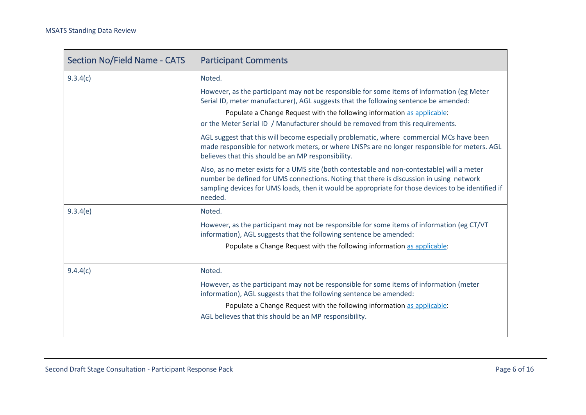| <b>Section No/Field Name - CATS</b> | <b>Participant Comments</b>                                                                                                                                                                                                                                                                             |
|-------------------------------------|---------------------------------------------------------------------------------------------------------------------------------------------------------------------------------------------------------------------------------------------------------------------------------------------------------|
| 9.3.4(c)                            | Noted.                                                                                                                                                                                                                                                                                                  |
|                                     | However, as the participant may not be responsible for some items of information (eg Meter<br>Serial ID, meter manufacturer), AGL suggests that the following sentence be amended:<br>Populate a Change Request with the following information as applicable:                                           |
|                                     | or the Meter Serial ID / Manufacturer should be removed from this requirements.                                                                                                                                                                                                                         |
|                                     | AGL suggest that this will become especially problematic, where commercial MCs have been<br>made responsible for network meters, or where LNSPs are no longer responsible for meters. AGL<br>believes that this should be an MP responsibility.                                                         |
|                                     | Also, as no meter exists for a UMS site (both contestable and non-contestable) will a meter<br>number be defined for UMS connections. Noting that there is discussion in using network<br>sampling devices for UMS loads, then it would be appropriate for those devices to be identified if<br>needed. |
| 9.3.4(e)                            | Noted.                                                                                                                                                                                                                                                                                                  |
|                                     | However, as the participant may not be responsible for some items of information (eg CT/VT<br>information), AGL suggests that the following sentence be amended:                                                                                                                                        |
|                                     | Populate a Change Request with the following information as applicable:                                                                                                                                                                                                                                 |
| 9.4.4(c)                            | Noted.                                                                                                                                                                                                                                                                                                  |
|                                     | However, as the participant may not be responsible for some items of information (meter<br>information), AGL suggests that the following sentence be amended:                                                                                                                                           |
|                                     | Populate a Change Request with the following information as applicable:                                                                                                                                                                                                                                 |
|                                     | AGL believes that this should be an MP responsibility.                                                                                                                                                                                                                                                  |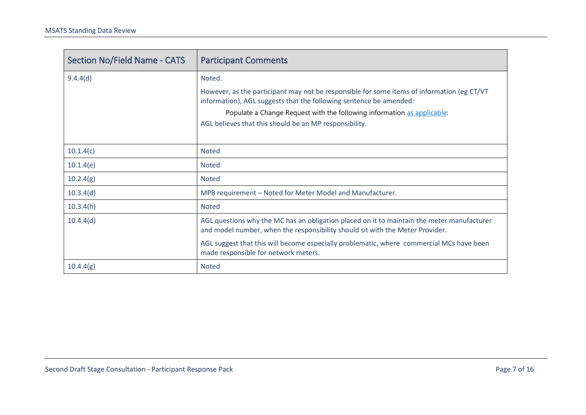| <b>Section No/Field Name - CATS</b> | <b>Participant Comments</b>                                                                                                                                                 |
|-------------------------------------|-----------------------------------------------------------------------------------------------------------------------------------------------------------------------------|
| 9.4.4(d)                            | Noted.                                                                                                                                                                      |
|                                     | However, as the participant may not be responsible for some items of information (eg CT/VT<br>information), AGL suggests that the following sentence be amended:            |
|                                     | Populate a Change Request with the following information as applicable:                                                                                                     |
|                                     | AGL believes that this should be an MP responsibility.                                                                                                                      |
|                                     |                                                                                                                                                                             |
| 10.1.4(c)                           | <b>Noted</b>                                                                                                                                                                |
| 10.1.4(e)                           | <b>Noted</b>                                                                                                                                                                |
| 10.2.4(g)                           | <b>Noted</b>                                                                                                                                                                |
| 10.3.4(d)                           | MPB requirement - Noted for Meter Model and Manufacturer.                                                                                                                   |
| 10.3.4(h)                           | <b>Noted</b>                                                                                                                                                                |
| 10.4.4(d)                           | AGL questions why the MC has an obligation placed on it to maintain the meter manufacturer<br>and model number, when the responsibility should sit with the Meter Provider. |
|                                     | AGL suggest that this will become especially problematic, where commercial MCs have been<br>made responsible for network meters.                                            |
| 10.4.4(g)                           | <b>Noted</b>                                                                                                                                                                |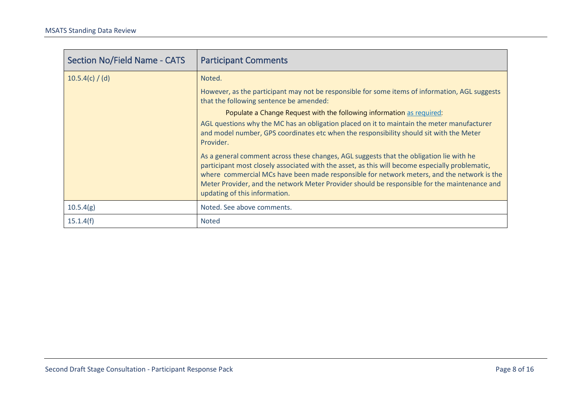| <b>Section No/Field Name - CATS</b> | <b>Participant Comments</b>                                                                                                                                                                                                                                                                                                                                                                                               |
|-------------------------------------|---------------------------------------------------------------------------------------------------------------------------------------------------------------------------------------------------------------------------------------------------------------------------------------------------------------------------------------------------------------------------------------------------------------------------|
| 10.5.4(c) / (d)                     | Noted.                                                                                                                                                                                                                                                                                                                                                                                                                    |
|                                     | However, as the participant may not be responsible for some items of information, AGL suggests<br>that the following sentence be amended:                                                                                                                                                                                                                                                                                 |
|                                     | Populate a Change Request with the following information as required:                                                                                                                                                                                                                                                                                                                                                     |
|                                     | AGL questions why the MC has an obligation placed on it to maintain the meter manufacturer<br>and model number, GPS coordinates etc when the responsibility should sit with the Meter<br>Provider.                                                                                                                                                                                                                        |
|                                     | As a general comment across these changes, AGL suggests that the obligation lie with he<br>participant most closely associated with the asset, as this will become especially problematic,<br>where commercial MCs have been made responsible for network meters, and the network is the<br>Meter Provider, and the network Meter Provider should be responsible for the maintenance and<br>updating of this information. |
| 10.5.4(g)                           | Noted. See above comments.                                                                                                                                                                                                                                                                                                                                                                                                |
| 15.1.4(f)                           | <b>Noted</b>                                                                                                                                                                                                                                                                                                                                                                                                              |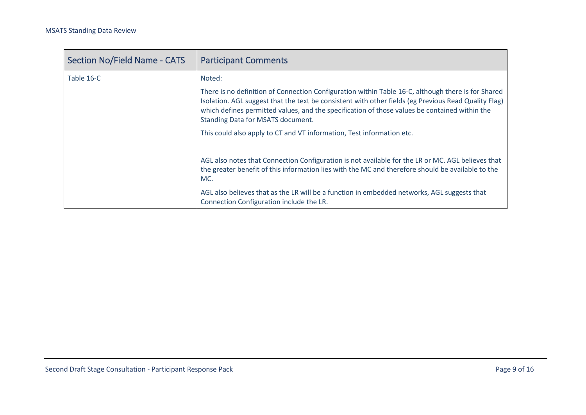| <b>Section No/Field Name - CATS</b> | <b>Participant Comments</b>                                                                                                                                                                                                                                                                                                                      |
|-------------------------------------|--------------------------------------------------------------------------------------------------------------------------------------------------------------------------------------------------------------------------------------------------------------------------------------------------------------------------------------------------|
| Table 16-C                          | Noted:                                                                                                                                                                                                                                                                                                                                           |
|                                     | There is no definition of Connection Configuration within Table 16-C, although there is for Shared<br>Isolation. AGL suggest that the text be consistent with other fields (eg Previous Read Quality Flag)<br>which defines permitted values, and the specification of those values be contained within the<br>Standing Data for MSATS document. |
|                                     | This could also apply to CT and VT information, Test information etc.                                                                                                                                                                                                                                                                            |
|                                     | AGL also notes that Connection Configuration is not available for the LR or MC. AGL believes that<br>the greater benefit of this information lies with the MC and therefore should be available to the<br>MC.<br>AGL also believes that as the LR will be a function in embedded networks, AGL suggests that                                     |
|                                     | Connection Configuration include the LR.                                                                                                                                                                                                                                                                                                         |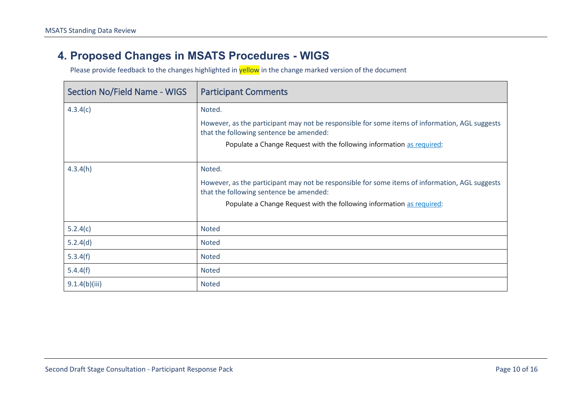#### **4. Proposed Changes in MSATS Procedures - WIGS**

<span id="page-9-0"></span>

| <b>Section No/Field Name - WIGS</b> | <b>Participant Comments</b>                                                                                                               |
|-------------------------------------|-------------------------------------------------------------------------------------------------------------------------------------------|
| 4.3.4(c)                            | Noted.                                                                                                                                    |
|                                     | However, as the participant may not be responsible for some items of information, AGL suggests<br>that the following sentence be amended: |
|                                     | Populate a Change Request with the following information as required:                                                                     |
| 4.3.4(h)                            | Noted.                                                                                                                                    |
|                                     | However, as the participant may not be responsible for some items of information, AGL suggests<br>that the following sentence be amended: |
|                                     | Populate a Change Request with the following information as required:                                                                     |
| 5.2.4(c)                            | <b>Noted</b>                                                                                                                              |
| 5.2.4(d)                            | <b>Noted</b>                                                                                                                              |
| 5.3.4(f)                            | Noted                                                                                                                                     |
| 5.4.4(f)                            | <b>Noted</b>                                                                                                                              |
| 9.1.4(b)(iii)                       | <b>Noted</b>                                                                                                                              |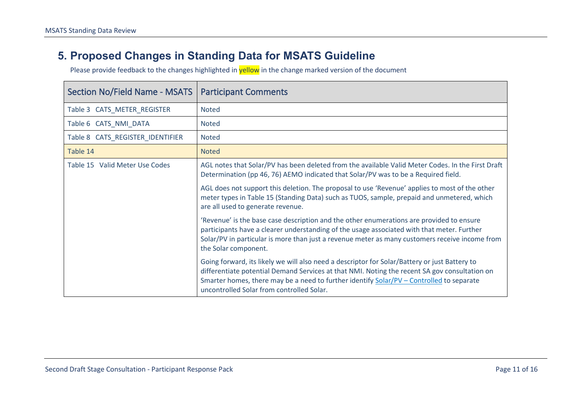#### **5. Proposed Changes in Standing Data for MSATS Guideline**

<span id="page-10-0"></span>

| Section No/Field Name - MSATS    | <b>Participant Comments</b>                                                                                                                                                                                                                                                                                                             |
|----------------------------------|-----------------------------------------------------------------------------------------------------------------------------------------------------------------------------------------------------------------------------------------------------------------------------------------------------------------------------------------|
| Table 3 CATS_METER_REGISTER      | <b>Noted</b>                                                                                                                                                                                                                                                                                                                            |
| Table 6 CATS NMI DATA            | <b>Noted</b>                                                                                                                                                                                                                                                                                                                            |
| Table 8 CATS_REGISTER_IDENTIFIER | <b>Noted</b>                                                                                                                                                                                                                                                                                                                            |
| Table 14                         | <b>Noted</b>                                                                                                                                                                                                                                                                                                                            |
| Table 15 Valid Meter Use Codes   | AGL notes that Solar/PV has been deleted from the available Valid Meter Codes. In the First Draft<br>Determination (pp 46, 76) AEMO indicated that Solar/PV was to be a Required field.                                                                                                                                                 |
|                                  | AGL does not support this deletion. The proposal to use 'Revenue' applies to most of the other<br>meter types in Table 15 (Standing Data) such as TUOS, sample, prepaid and unmetered, which<br>are all used to generate revenue.                                                                                                       |
|                                  | 'Revenue' is the base case description and the other enumerations are provided to ensure<br>participants have a clearer understanding of the usage associated with that meter. Further<br>Solar/PV in particular is more than just a revenue meter as many customers receive income from<br>the Solar component.                        |
|                                  | Going forward, its likely we will also need a descriptor for Solar/Battery or just Battery to<br>differentiate potential Demand Services at that NMI. Noting the recent SA gov consultation on<br>Smarter homes, there may be a need to further identify Solar/PV - Controlled to separate<br>uncontrolled Solar from controlled Solar. |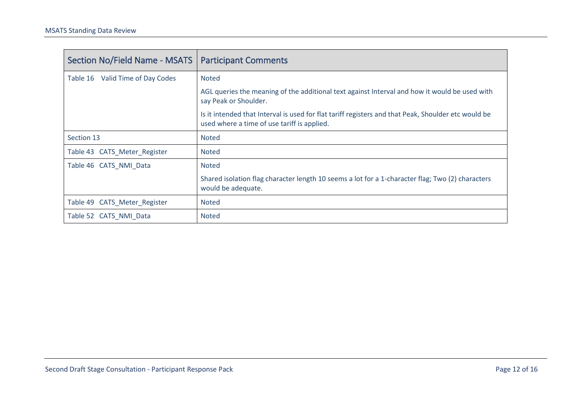<span id="page-11-0"></span>

| <b>Section No/Field Name - MSATS</b> | <b>Participant Comments</b>                                                                                                                        |
|--------------------------------------|----------------------------------------------------------------------------------------------------------------------------------------------------|
| Valid Time of Day Codes<br>Table 16  | <b>Noted</b>                                                                                                                                       |
|                                      | AGL queries the meaning of the additional text against Interval and how it would be used with<br>say Peak or Shoulder.                             |
|                                      | Is it intended that Interval is used for flat tariff registers and that Peak, Shoulder etc would be<br>used where a time of use tariff is applied. |
| Section 13                           | <b>Noted</b>                                                                                                                                       |
| Table 43 CATS Meter Register         | <b>Noted</b>                                                                                                                                       |
| Table 46 CATS NMI Data               | <b>Noted</b>                                                                                                                                       |
|                                      | Shared isolation flag character length 10 seems a lot for a 1-character flag; Two (2) characters<br>would be adequate.                             |
| Table 49 CATS Meter Register         | <b>Noted</b>                                                                                                                                       |
| Table 52 CATS NMI Data               | <b>Noted</b>                                                                                                                                       |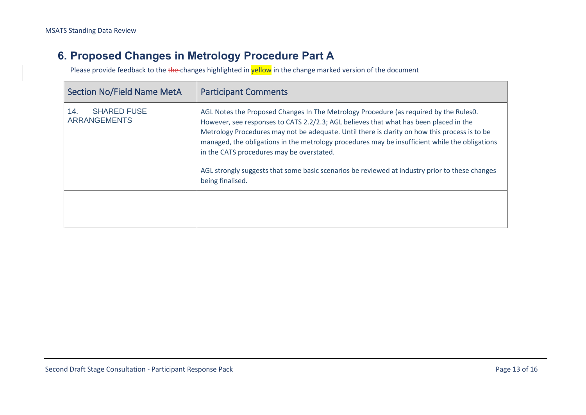## **6. Proposed Changes in Metrology Procedure Part A**

<span id="page-12-0"></span>

| <b>Section No/Field Name MetA</b>                | <b>Participant Comments</b>                                                                                                                                                                                                                                                                                                                                                                                                                                                                                                                          |
|--------------------------------------------------|------------------------------------------------------------------------------------------------------------------------------------------------------------------------------------------------------------------------------------------------------------------------------------------------------------------------------------------------------------------------------------------------------------------------------------------------------------------------------------------------------------------------------------------------------|
| <b>SHARED FUSE</b><br>14.<br><b>ARRANGEMENTS</b> | AGL Notes the Proposed Changes In The Metrology Procedure (as required by the Rules0.<br>However, see responses to CATS 2.2/2.3; AGL believes that what has been placed in the<br>Metrology Procedures may not be adequate. Until there is clarity on how this process is to be<br>managed, the obligations in the metrology procedures may be insufficient while the obligations<br>in the CATS procedures may be overstated.<br>AGL strongly suggests that some basic scenarios be reviewed at industry prior to these changes<br>being finalised. |
|                                                  |                                                                                                                                                                                                                                                                                                                                                                                                                                                                                                                                                      |
|                                                  |                                                                                                                                                                                                                                                                                                                                                                                                                                                                                                                                                      |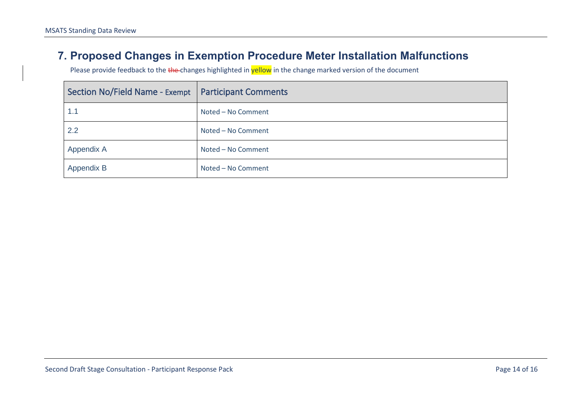#### **7. Proposed Changes in Exemption Procedure Meter Installation Malfunctions**

<span id="page-13-0"></span>

| Section No/Field Name - Exempt   Participant Comments |                    |
|-------------------------------------------------------|--------------------|
| 1.1                                                   | Noted - No Comment |
| 2.2                                                   | Noted - No Comment |
| Appendix A                                            | Noted - No Comment |
| Appendix B                                            | Noted - No Comment |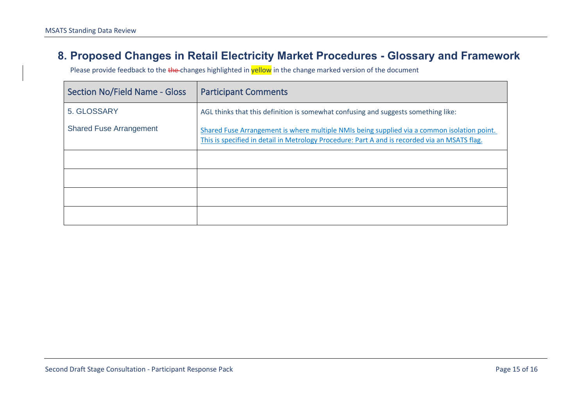#### **8. Proposed Changes in Retail Electricity Market Procedures - Glossary and Framework**

<span id="page-14-0"></span>

| <b>Section No/Field Name - Gloss</b> | <b>Participant Comments</b>                                                                                                                                                                  |
|--------------------------------------|----------------------------------------------------------------------------------------------------------------------------------------------------------------------------------------------|
| 5. GLOSSARY                          | AGL thinks that this definition is somewhat confusing and suggests something like:                                                                                                           |
| <b>Shared Fuse Arrangement</b>       | Shared Fuse Arrangement is where multiple NMIs being supplied via a common isolation point.<br>This is specified in detail in Metrology Procedure: Part A and is recorded via an MSATS flag. |
|                                      |                                                                                                                                                                                              |
|                                      |                                                                                                                                                                                              |
|                                      |                                                                                                                                                                                              |
|                                      |                                                                                                                                                                                              |